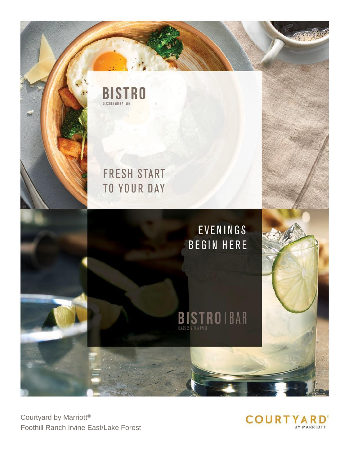

Courtyard by Marriott® Foothill Ranch Irvine East/Lake Forest

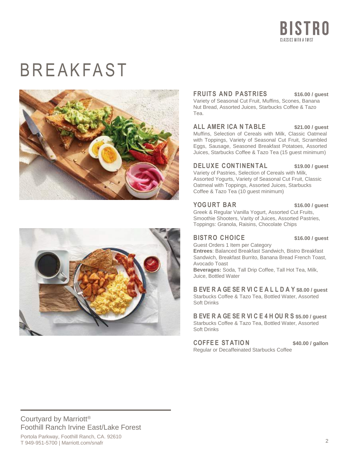

# BREAKFAST



#### **FRUITS AND PASTRIES \$16.00 / guest**

Variety of Seasonal Cut Fruit, Muffins, Scones, Banana Nut Bread, Assorted Juices, Starbucks Coffee & Tazo Tea.

### **ALL AMER ICA N TABLE \$21.00 / guest**

Muffins, Selection of Cereals with Milk, Classic Oatmeal with Toppings, Variety of Seasonal Cut Fruit, Scrambled Eggs, Sausage, Seasoned Breakfast Potatoes, Assorted Juices, Starbucks Coffee & Tazo Tea (15 guest minimum)

### **DELUXE CONTINENTAL \$19.00 / guest**

Variety of Pastries, Selection of Cereals with Milk, Assorted Yogurts, Variety of Seasonal Cut Fruit, Classic Oatmeal with Toppings, Assorted Juices, Starbucks Coffee & Tazo Tea (10 guest minimum)

#### **YOGURT BAR \$16.00 / guest**

Greek & Regular Vanilla Yogurt, Assorted Cut Fruits, Smoothie Shooters, Varity of Juices, Assorted Pastries, Toppings: Granola, Raisins, Chocolate Chips

#### **BISTRO CHOICE \$16.00 / guest**

Guest Orders 1 Item per Category **Entrees**: Balanced Breakfast Sandwich, Bistro Breakfast Sandwich, Breakfast Burrito, Banana Bread French Toast, Avocado Toast **Beverages:** Soda, Tall Drip Coffee, Tall Hot Tea, Milk, Juice, Bottled Water

**B EVE R A GE SE R VI C E A L L D A Y \$8.00 / guest** Starbucks Coffee & Tazo Tea, Bottled Water, Assorted Soft Drinks

**B EVE R A GE SE R VI C E 4 H OU R S \$5.00 / guest** Starbucks Coffee & Tazo Tea, Bottled Water, Assorted Soft Drinks

**COFFE E STATIO N \$40.00 / gallon** Regular or Decaffeinated Starbucks Coffee

Courtyard by Marriott® Foothill Ranch Irvine East/Lake Forest Portola Parkway, Foothill Ranch, CA. 92610 T 949-951-5700 | Marriott.com/snafr 2

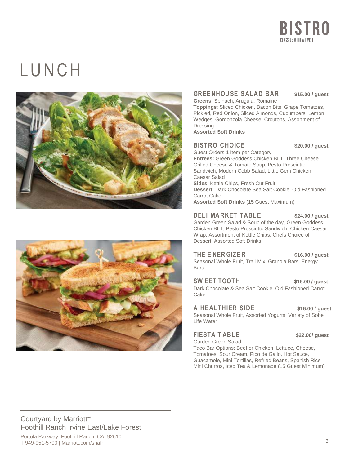

# LUNCH



#### **GREENHOUSE SALAD BAR \$15.00 / guest**

**Greens**: Spinach, Arugula, Romaine **Toppings**: Sliced Chicken, Bacon Bits, Grape Tomatoes, Pickled, Red Onion, Sliced Almonds, Cucumbers, Lemon Wedges, Gorgonzola Cheese, Croutons, Assortment of Dressing

**Assorted Soft Drinks**

#### **BISTRO CHOICE \$20.00 / guest**

Guest Orders 1 Item per Category **Entrees:** Green Goddess Chicken BLT, Three Cheese Grilled Cheese & Tomato Soup, Pesto Prosciutto Sandwich, Modern Cobb Salad, Little Gem Chicken Caesar Salad **Sides**: Kettle Chips, Fresh Cut Fruit **Dessert**: Dark Chocolate Sea Salt Cookie, Old Fashioned Carrot Cake **Assorted Soft Drinks** (15 Guest Maximum)

#### **DELI MARKET TABLE \$24.00 / guest**

Garden Green Salad & Soup of the day, Green Goddess Chicken BLT, Pesto Prosciutto Sandwich, Chicken Caesar Wrap, Assortment of Kettle Chips, Chefs Choice of Dessert, Assorted Soft Drinks

### **THE E NER GIZE R \$16.00 / guest**

Seasonal Whole Fruit, Trail Mix, Granola Bars, Energy Bars

**SW EET TOOTH \$16.00 / guest**  Dark Chocolate & Sea Salt Cookie, Old Fashioned Carrot Cake

**A HEALTHIER SIDE \$16.00 / guest** Seasonal Whole Fruit, Assorted Yogurts, Variety of Sobe Life Water

### **FIESTA T ABL E \$22.00/ guest**

Garden Green Salad Taco Bar Options: Beef or Chicken, Lettuce, Cheese, Tomatoes, Sour Cream, Pico de Gallo, Hot Sauce, Guacamole, Mini Tortillas, Refried Beans, Spanish Rice Mini Churros, Iced Tea & Lemonade (15 Guest Minimum)

Courtyard by Marriott® Foothill Ranch Irvine East/Lake Forest Portola Parkway, Foothill Ranch, CA. 92610

T 949-951-5700 | Marriott.com/snafr 3

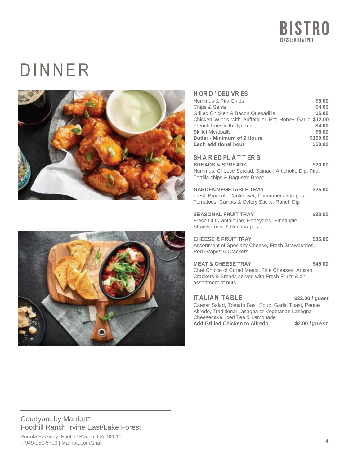

## DINNER



### **H OR D ' OEU VR ES**

| Hummus & Pita Chips                                    | \$5.00   |
|--------------------------------------------------------|----------|
| Chips & Salsa                                          | \$4.00   |
| Grilled Chicken & Bacon Quesadilla                     | \$6.00   |
| Chicken Wings with Buffalo or Hot Honey Garlic \$12.00 |          |
| French Fries with Dip Trio                             | \$4.00   |
| <b>Skillet Meatballs</b>                               | \$5.00   |
| <b>Butler - Minimum of 2 Hours</b>                     | \$150.00 |
| Each additional hour                                   | \$50.00  |

**SH A R ED PL A T T ER S BREADS & SPREADS \$20.00** Hummus, Cheese Spread, Spinach Artichoke Dip, Pita, Tortilla chips & Baguette Bread

| <b>GARDEN VEGETABLE TRAY</b>                    | \$25.00 |
|-------------------------------------------------|---------|
| Fresh Broccoli, Cauliflower, Cucumbers, Grapes, |         |
| Tomatoes, Carrots & Celery Sticks, Ranch Dip    |         |

**SEASONAL FRUIT TRAY \$30.00** Fresh Cut Cantaloupe, Honeydew, Pineapple, Strawberries, & Red Grapes

**CHEESE & FRUIT TRAY \$35.00** Assortment of Specialty Cheese, Fresh Strawberries, Red Grapes & Crackers

#### **MEAT & CHEESE TRAY \$45.00** Chef Choice of Cured Meats, Fine Cheeses, Artisan Crackers & Breads served with Fresh Fruits & an assortment of nuts

**ITALIAN TABLE \$22.00 / guest** Caesar Salad, Tomato Basil Soup, Garlic Toast, Penne Alfredo, Traditional Lasagna or Vegetarian Lasagna Cheesecake, Iced Tea & Lemonade **Add Grilled Chicken to Alfredo \$2.00 /guest**



Courtyard by Marriott® Foothill Ranch Irvine East/Lake Forest Portola Parkway, Foothill Ranch, CA. 92610 T 949-951-5700 | Marriott.com/snafr 4